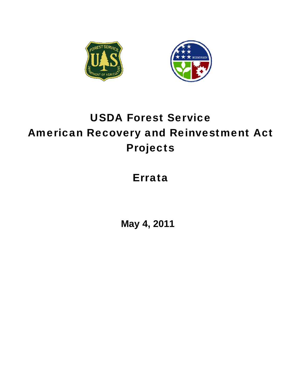



# USDA Forest Service American Recovery and Reinvestment Act Projects

# Errata

**May 4, 2011**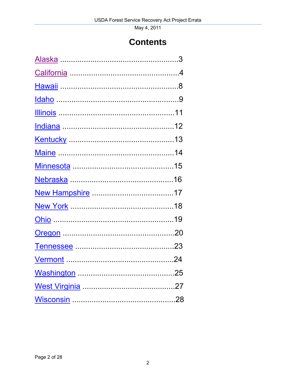# **Contents**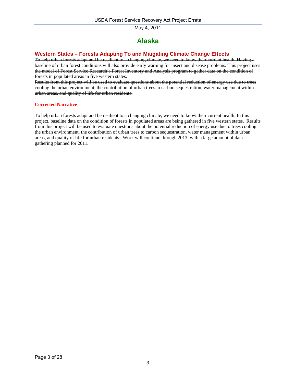# **Alaska**

# <span id="page-2-0"></span>**Western States – Forests Adapting To and Mitigating Climate Change Effects**

To help urban forests adapt and be resilient to a changing climate, we need to know their current health. Having a baseline of urban forest conditions will also provide early warning for insect and disease problems. This project uses the model of Forest Service Research's Forest Inventory and Analysis program to gather data on the condition of forests in populated areas in five western states.

Results from this project will be used to evaluate questions about the potential reduction of energy use due to trees cooling the urban environment, the contribution of urban trees to carbon sequestration, water management within urban areas, and quality of life for urban residents.

### **Corrected Narrative**

To help urban forests adapt and be resilient to a changing climate, we need to know their current health. In this project, baseline data on the condition of forests in populated areas are being gathered in five western states. Results from this project will be used to evaluate questions about the potential reduction of energy use due to trees cooling the urban environment, the contribution of urban trees to carbon sequestration, water management within urban areas, and quality of life for urban residents. Work will continue through 2013, with a large amount of data gathering planned for 2011.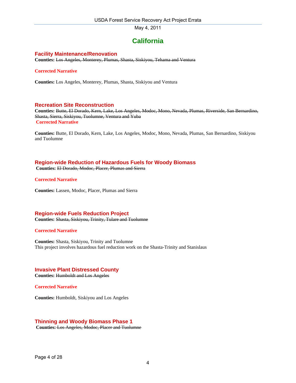# **California**

### <span id="page-3-0"></span>**Facility Maintenance/Renovation**

**Counties:** Los Angeles, Monterey, Plumas, Shasta, Siskiyou, Tehama and Ventura

### **Corrected Narrative**

**Counties:** Los Angeles, Monterey, Plumas, Shasta, Siskiyou and Ventura

### **Recreation Site Reconstruction**

**Counties:** Butte, El Dorado, Kern, Lake, Los Angeles, Modoc, Mono, Nevada, Plumas, Riverside, San Bernardino, Shasta, Sierra, Siskiyou, Tuolumne, Ventura and Yuba **Corrected Narrative**

**Counties:** Butte, El Dorado, Kern, Lake, Los Angeles, Modoc, Mono, Nevada, Plumas, San Bernardino, Siskiyou and Tuolumne

### **Region-wide Reduction of Hazardous Fuels for Woody Biomass**

**Counties:** El Dorado, Modoc, Placer, Plumas and Sierra

**Corrected Narrative**

**Counties:** Lassen, Modoc, Placer, Plumas and Sierra

### **Region-wide Fuels Reduction Project**

**Counties:** Shasta, Siskiyou, Trinity, Tulare and Tuolumne

#### **Corrected Narrative**

**Counties:** Shasta, Siskiyou, Trinity and Tuolumne This project involves hazardous fuel reduction work on the Shasta-Trinity and Stanislaus

# **Invasive Plant Distressed County**

**Counties:** Humboldt and Los Angeles

**Corrected Narrative** 

**Counties:** Humboldt, Siskiyou and Los Angeles

# **Thinning and Woody Biomass Phase 1**

**Counties:** Los Angeles, Modoc, Placer and Tuolumne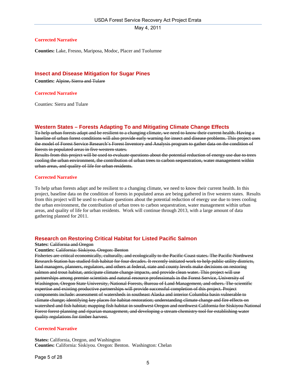#### **Corrected Narrative**

**Counties:** Lake, Fresno, Mariposa, Modoc, Placer and Tuolumne

### **Insect and Disease Mitigation for Sugar Pines**

**Counties:** Alpine, Sierra and Tulare

#### **Corrected Narrative**

Counties: Sierra and Tulare

### **Western States – Forests Adapting To and Mitigating Climate Change Effects**

To help urban forests adapt and be resilient to a changing climate, we need to know their current health. Having a baseline of urban forest conditions will also provide early warning for insect and disease problems. This project uses the model of Forest Service Research's Forest Inventory and Analysis program to gather data on the condition of forests in populated areas in five western states.

Results from this project will be used to evaluate questions about the potential reduction of energy use due to trees cooling the urban environment, the contribution of urban trees to carbon sequestration, water management within urban areas, and quality of life for urban residents.

#### **Corrected Narrative**

To help urban forests adapt and be resilient to a changing climate, we need to know their current health. In this project, baseline data on the condition of forests in populated areas are being gathered in five western states. Results from this project will be used to evaluate questions about the potential reduction of energy use due to trees cooling the urban environment, the contribution of urban trees to carbon sequestration, water management within urban areas, and quality of life for urban residents. Work will continue through 2013, with a large amount of data gathering planned for 2011.

### **Research on Restoring Critical Habitat for Listed Pacific Salmon**

#### **States: California and Oregon**

#### **Counties:** California: Siskiyou. Oregon: Benton

Fisheries are critical economically, culturally, and ecologically to the Pacific Coast states. The Pacific Northwest Research Station has studied fish habitat for four decades. It recently initiated work to help public utility districts, land managers, planners, regulators, and others at federal, state and county levels make decisions on restoring salmon and trout habitat, anticipate climate change impacts, and provide clean water. This project will use partnerships among premier scientists and natural resource professionals in the Forest Service, University of Washington, Oregon State University, National Forests, Bureau of Land Management, and others. The scientific expertise and existing productive partnerships will provide successful completion of this project. Project components include: assessment of watersheds in southeast Alaska and interior Columbia basin vulnerable to climate change; identifying key places for habitat restoration; understanding climate change and fire effects on watershed and fish habitat; mapping fish habitat in southwest Oregon and northwest California for Siskiyou National Forest forest planning and riparian management, and developing a stream chemistry tool for establishing water quality regulations for timber harvest.

#### **Corrected Narrative**

**States:** California, Oregon, and Washington **Counties:** California: Siskiyou. Oregon: Benton. Washington: Chelan

Page 5 of 28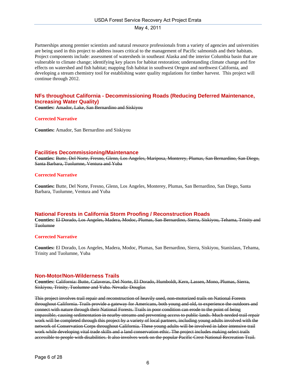Partnerships among premier scientists and natural resource professionals from a variety of agencies and universities are being used in this project to address issues critical to the management of Pacific salmonids and their habitats. Project components include: assessment of watersheds in southeast Alaska and the interior Columbia basin that are vulnerable to climate change; identifying key places for habitat restoration; understanding climate change and fire effects on watershed and fish habitat; mapping fish habitat in southwest Oregon and northwest California, and developing a stream chemistry tool for establishing water quality regulations for timber harvest. This project will continue through 2012.

### **NFs throughout California - Decommissioning Roads (Reducing Deferred Maintenance, Increasing Water Quality)**

**Counties:** Amador, Lake, San Bernardino and Siskiyou

### **Corrected Narrative**

**Counties:** Amador, San Bernardino and Siskiyou

### **Facilities Decommissioning/Maintenance**

**Counties:** Butte, Del Norte, Fresno, Glenn, Los Angeles, Mariposa, Monterey, Plumas, San Bernardino, San Diego, Santa Barbara, Tuolumne, Ventura and Yuba

### **Corrected Narrative**

**Counties:** Butte, Del Norte, Fresno, Glenn, Los Angeles, Monterey, Plumas, San Bernardino, San Diego, Santa Barbara, Tuolumne, Ventura and Yuba

### **National Forests in California Storm Proofing / Reconstruction Roads**

**Counties:** El Dorado, Los Angeles, Madera, Modoc, Plumas, San Bernardino, Sierra, Siskiyou, Tehama, Trinity and **Tuolumne** 

#### **Corrected Narrative**

**Counties:** El Dorado, Los Angeles, Madera, Modoc, Plumas, San Bernardino, Sierra, Siskiyou, Stanislaus, Tehama, Trinity and Tuolumne, Yuba

#### **Non-Motor/Non-Wilderness Trails**

**Counties:** California: Butte, Calaveras, Del Norte, El Dorado, Humboldt, Kern, Lassen, Mono, Plumas, Sierra, Siskiyou, Trinity, Tuolumne and Yuba. Nevada: Douglas

This project involves trail repair and reconstruction of heavily used, non-motorized trails on National Forests throughout California. Trails provide a gateway for Americans, both young and old, to experience the outdoors and connect with nature through their National Forests. Trails in poor condition can erode to the point of being impassible, causing sedimentation in nearby streams and preventing access to public lands. Much needed trail repair work will be completed through this project by a variety of local partners, including young adults involved with the network of Conservation Corps throughout California. These young adults will be involved in labor intensive trail work while developing vital trade skills and a land conservation ethic. The project includes making select trails accessible to people with disabilities. It also involves work on the popular Pacific Crest National Recreation Trail.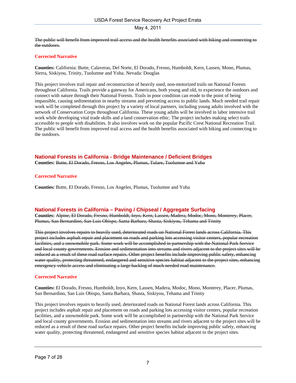<span id="page-6-0"></span>The public will benefit from improved trail access and the health benefits associated with hiking and connecting to the outdoors.

### **Corrected Narrative**

**Counties:** California: Butte, Calaveras, Del Norte, El Dorado, Fresno, Humboldt, Kern, Lassen, Mono, Plumas, Sierra, Siskiyou, Trinity, Tuolumne and Yuba. Nevada: Douglas

This project involves trail repair and reconstruction of heavily used, non-motorized trails on National Forests throughout California. Trails provide a gateway for Americans, both young and old, to experience the outdoors and connect with nature through their National Forests. Trails in poor condition can erode to the point of being impassible, causing sedimentation in nearby streams and preventing access to public lands. Much needed trail repair work will be completed through this project by a variety of local partners, including young adults involved with the network of Conservation Corps throughout California. These young adults will be involved in labor intensive trail work while developing vital trade skills and a land conservation ethic. The project includes making select trails accessible to people with disabilities. It also involves work on the popular Pacific Crest National Recreation Trail. The public will benefit from improved trail access and the health benefits associated with hiking and connecting to the outdoors.

### **National Forests in California - Bridge Maintenance / Deficient Bridges**

**Counties:** Butte, El Dorado, Fresno, Los Angeles, Plumas, Tulare, Tuolumne and Yuba

### **Corrected Narrative**

**Counties:** Butte, El Dorado, Fresno, Los Angeles, Plumas, Tuolumne and Yuba

### **National Forests in California – Paving / Chipseal / Aggregate Surfacing**

**Counties:** Alpine, El Dorado, Fresno, Humboldt, Inyo, Kern, Lassen, Madera, Modoc, Mono, Monterey, Placer, Plumas, San Bernardino, San Luis Obispo, Santa Barbara, Shasta, Siskiyou, Tehama and Trinity

This project involves repairs to heavily used, deteriorated roads on National Forest lands across California. This project includes asphalt repair and placement on roads and parking lots accessing visitor centers, popular recreation facilities, and a snowmobile park. Some work will be accomplished in partnership with the National Park Service and local county governments. Erosion and sedimentation into streams and rivers adjacent to the project sites will be reduced as a result of these road surface repairs. Other project benefits include improving public safety, enhancing water quality, protecting threatened, endangered and sensitive species habitat adjacent to the project sites, enhancing emergency vehicle access and eliminating a large backlog of much needed road maintenance.

### **Corrected Narrative**

**Counties:** El Dorado, Fresno, Humboldt, Inyo, Kern, Lassen, Madera, Modoc, Mono, Monterey, Placer, Plumas, San Bernardino, San Luis Obispo, Santa Barbara, Shasta, Siskiyou, Tehama and Trinity

This project involves repairs to heavily used, deteriorated roads on National Forest lands across California. This project includes asphalt repair and placement on roads and parking lots accessing visitor centers, popular recreation facilities, and a snowmobile park. Some work will be accomplished in partnership with the National Park Service and local county governments. Erosion and sedimentation into streams and rivers adjacent to the project sites will be reduced as a result of these road surface repairs. Other project benefits include improving public safety, enhancing water quality, protecting threatened, endangered and sensitive species habitat adjacent to the project sites.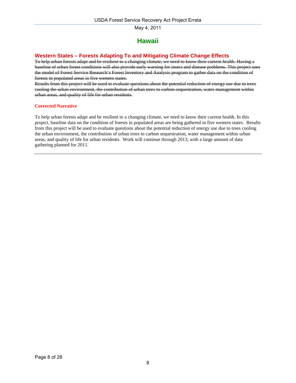# **Hawaii**

## **Western States – Forests Adapting To and Mitigating Climate Change Effects**

To help urban forests adapt and be resilient to a changing climate, we need to know their current health. Having a baseline of urban forest conditions will also provide early warning for insect and disease problems. This project uses the model of Forest Service Research's Forest Inventory and Analysis program to gather data on the condition of forests in populated areas in five western states.

Results from this project will be used to evaluate questions about the potential reduction of energy use due to trees cooling the urban environment, the contribution of urban trees to carbon sequestration, water management within urban areas, and quality of life for urban residents.

### **Corrected Narrative**

To help urban forests adapt and be resilient to a changing climate, we need to know their current health. In this project, baseline data on the condition of forests in populated areas are being gathered in five western states. Results from this project will be used to evaluate questions about the potential reduction of energy use due to trees cooling the urban environment, the contribution of urban trees to carbon sequestration, water management within urban areas, and quality of life for urban residents. Work will continue through 2013, with a large amount of data gathering planned for 2011.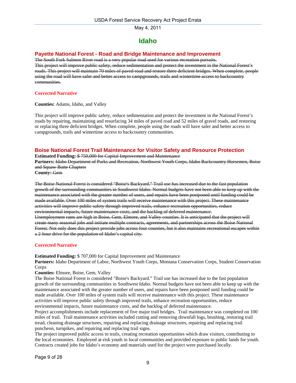# **Idaho**

### <span id="page-8-0"></span>**Payette National Forest - Road and Bridge Maintenance and Improvement**

The South Fork Salmon River road is a very popular road used for various recreation pursuits. This project will improve public safety, reduce sedimentation and protect the investment in the National Forest's roads. This project will maintain 70 miles of paved road and restore three deficient bridges. When complete, people using the road will have safer and better access to campgrounds, trails and wintertime access to backcountry communities.

### **Corrected Narrative**

**Counties:** Adams, Idaho, and Valley

This project will improve public safety, reduce sedimentation and protect the investment in the National Forest's roads by repairing, maintaining and resurfacing 34 miles of paved road and 52 miles of gravel roads, and restoring or replacing three deficient bridges. When complete, people using the roads will have safer and better access to campgrounds, trails and wintertime access to backcountry communities.

### **Boise National Forest Trail Maintenance for Visitor Safety and Resource Protection**

**Estimated Funding:** \$ 750,000 for Capital Improvement and Maintenance

**Partners:** Idaho Department of Parks and Recreation, Northwest Youth Corps, Idaho Backcountry Horsemen, Boise and Squaw Butte Chapters

**County:** Gem

The Boise National Forest is considered "Boise's Backyard." Trail use has increased due to the fast population growth of the surrounding communities in Southwest Idaho. Normal budgets have not been able to keep up with the maintenance associated with the greater number of users, and repairs have been postponed until funding could be made available. Over 100 miles of system trails will receive maintenance with this project. These maintenance activities will improve public safety through improved trails, enhance recreation opportunities, reduce environmental impacts, future maintenance costs, and the backlog of deferred maintenance. Unemployment rates are high in Boise, Gem, Elmore, and Valley counties. It is anticipated that the project will create many seasonal jobs and initiate multiple contracts, agreements, and partnerships across the Boise National Forest. Not only does this project provide jobs across four counties, but it also maintains recreational escapes within a 2-hour drive for the population of Idaho's capital city.

### **Corrected Narrative**

**Estimated Funding:** \$ 707,000 for Capital Improvement and Maintenance

**Partners:** Idaho Department of Labor, Northwest Youth Corps, Montana Conservation Corps, Student Conservation Corps

**Counties:** Elmore, Boise, Gem, Valley

The Boise National Forest is considered "Boise's Backyard." Trail use has increased due to the fast population growth of the surrounding communities in Southwest Idaho. Normal budgets have not been able to keep up with the maintenance associated with the greater number of users, and repairs have been postponed until funding could be made available. Over 100 miles of system trails will receive maintenance with this project. These maintenance activities will improve public safety through improved trails, enhance recreation opportunities, reduce environmental impacts, future maintenance costs, and the backlog of deferred maintenance.

Project accomplishments include replacement of five major trail bridges. Trail maintenance was completed on 100 miles of trail. Trail maintenance activities included cutting and removing downfall logs, brushing, restoring trail tread, cleaning drainage structures, repairing and replacing drainage structures, repairing and replacing trail puncheon, turnpikes, and repairing and replacing trail signs.

The project improved public access to trails, creating recreation opportunities which draw visitors, contributing to the local economies. Employed at-risk youth in local communities and provided exposure to public lands for youth. Contracts created jobs for Idaho's economy and materials used for the project were purchased locally.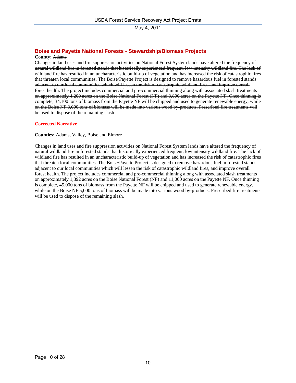# **Boise and Payette National Forests - Stewardship/Biomass Projects**

#### **County:** Adams

Changes in land uses and fire suppression activities on National Forest System lands have altered the frequency of natural wildland fire in forested stands that historically experienced frequent, low intensity wildland fire. The lack of wildland fire has resulted in an uncharacteristic build-up of vegetation and has increased the risk of catastrophic fires that threaten local communities. The Boise/Payette Project is designed to remove hazardous fuel in forested stands adjacent to our local communities which will lessen the risk of catastrophic wildland fires, and improve overall forest health. The project includes commercial and pre-commercial thinning along with associated slash treatments on approximately 4,200 acres on the Boise National Forest (NF) and 3,800 acres on the Payette NF. Once thinning is complete, 34,100 tons of biomass from the Payette NF will be chipped and used to generate renewable energy, while on the Boise NF 3,000 tons of biomass will be made into various wood by-products. Prescribed fire treatments will be used to dispose of the remaining slash.

### **Corrected Narrative**

### **Counties:** Adams, Valley, Boise and Elmore

Changes in land uses and fire suppression activities on National Forest System lands have altered the frequency of natural wildland fire in forested stands that historically experienced frequent, low intensity wildland fire. The lack of wildland fire has resulted in an uncharacteristic build-up of vegetation and has increased the risk of catastrophic fires that threaten local communities. The Boise/Payette Project is designed to remove hazardous fuel in forested stands adjacent to our local communities which will lessen the risk of catastrophic wildland fires, and improve overall forest health. The project includes commercial and pre-commercial thinning along with associated slash treatments on approximately 1,892 acres on the Boise National Forest (NF) and 11,000 acres on the Payette NF. Once thinning is complete, 45,000 tons of biomass from the Payette NF will be chipped and used to generate renewable energy, while on the Boise NF 5,000 tons of biomass will be made into various wood by-products. Prescribed fire treatments will be used to dispose of the remaining slash.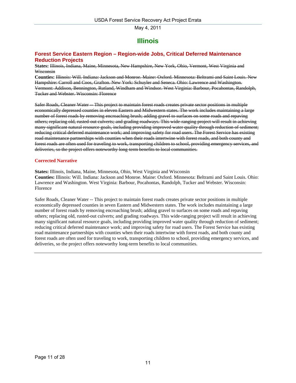# **Illinois**

### <span id="page-10-0"></span>**Forest Service Eastern Region – Region-wide Jobs, Critical Deferred Maintenance Reduction Projects**

**States:** Illinois, Indiana, Maine, Minnesota, New Hampshire, New York, Ohio, Vermont, West Virginia and Wisconsin

**Counties:** Illinois: Will. Indiana: Jackson and Monroe. Maine: Oxford. Minnesota: Beltrami and Saint Louis. New Hampshire: Carroll and Coos, Grafton. New York: Schuyler and Seneca. Ohio: Lawrence and Washington. Vermont: Addison, Bennington, Rutland, Windham and Windsor. West Virginia: Barbour, Pocahontas, Randolph, Tucker and Webster. Wisconsin: Florence

Safer Roads, Cleaner Water -- This project to maintain forest roads creates private sector positions in multiple economically depressed counties in eleven Eastern and Midwestern states. The work includes maintaining a large number of forest roads by removing encroaching brush; adding gravel to surfaces on some roads and repaving others; replacing old, rusted-out culverts; and grading roadways. This wide-ranging project will result in achieving many significant natural resource goals, including providing improved water quality through reduction of sediment; reducing critical deferred maintenance work; and improving safety for road users. The Forest Service has existing road maintenance partnerships with counties when their roads intertwine with forest roads, and both county and forest roads are often used for traveling to work, transporting children to school, providing emergency services, and deliveries, so the project offers noteworthy long-term benefits to local communities.

### **Corrected Narrative**

**States:** Illinois, Indiana, Maine, Minnesota, Ohio, West Virginia and Wisconsin

**Counties:** Illinois: Will. Indiana: Jackson and Monroe. Maine: Oxford. Minnesota: Beltrami and Saint Louis. Ohio: Lawrence and Washington. West Virginia: Barbour, Pocahontas, Randolph, Tucker and Webster. Wisconsin: Florence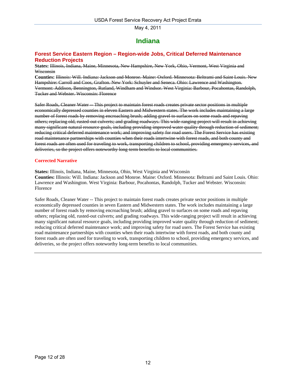# **Indiana**

### <span id="page-11-0"></span>**Forest Service Eastern Region – Region-wide Jobs, Critical Deferred Maintenance Reduction Projects**

**States:** Illinois, Indiana, Maine, Minnesota, New Hampshire, New York, Ohio, Vermont, West Virginia and Wisconsin

**Counties:** Illinois: Will. Indiana: Jackson and Monroe. Maine: Oxford. Minnesota: Beltrami and Saint Louis. New Hampshire: Carroll and Coos, Grafton. New York: Schuyler and Seneca. Ohio: Lawrence and Washington. Vermont: Addison, Bennington, Rutland, Windham and Windsor. West Virginia: Barbour, Pocahontas, Randolph, Tucker and Webster. Wisconsin: Florence

Safer Roads, Cleaner Water -- This project to maintain forest roads creates private sector positions in multiple economically depressed counties in eleven Eastern and Midwestern states. The work includes maintaining a large number of forest roads by removing encroaching brush; adding gravel to surfaces on some roads and repaving others; replacing old, rusted-out culverts; and grading roadways. This wide-ranging project will result in achieving many significant natural resource goals, including providing improved water quality through reduction of sediment; reducing critical deferred maintenance work; and improving safety for road users. The Forest Service has existing road maintenance partnerships with counties when their roads intertwine with forest roads, and both county and forest roads are often used for traveling to work, transporting children to school, providing emergency services, and deliveries, so the project offers noteworthy long-term benefits to local communities.

### **Corrected Narrative**

**States:** Illinois, Indiana, Maine, Minnesota, Ohio, West Virginia and Wisconsin

**Counties:** Illinois: Will. Indiana: Jackson and Monroe. Maine: Oxford. Minnesota: Beltrami and Saint Louis. Ohio: Lawrence and Washington. West Virginia: Barbour, Pocahontas, Randolph, Tucker and Webster. Wisconsin: Florence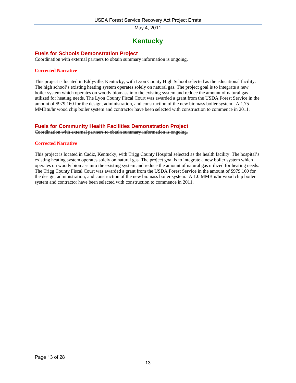# **Kentucky**

### <span id="page-12-0"></span>**Fuels for Schools Demonstration Project**

Coordination with external partners to obtain summary information is ongoing.

### **Corrected Narrative**

This project is located in Eddyville, Kentucky, with Lyon County High School selected as the educational facility. The high school's existing heating system operates solely on natural gas. The project goal is to integrate a new boiler system which operates on woody biomass into the existing system and reduce the amount of natural gas utilized for heating needs. The Lyon County Fiscal Court was awarded a grant from the USDA Forest Service in the amount of \$979,160 for the design, administration, and construction of the new biomass boiler system. A 1.75 MMBtu/hr wood chip boiler system and contractor have been selected with construction to commence in 2011.

### **Fuels for Community Health Facilities Demonstration Project**

Coordination with external partners to obtain summary information is ongoing.

### **Corrected Narrative**

This project is located in Cadiz, Kentucky, with Trigg County Hospital selected as the health facility. The hospital's existing heating system operates solely on natural gas. The project goal is to integrate a new boiler system which operates on woody biomass into the existing system and reduce the amount of natural gas utilized for heating needs. The Trigg County Fiscal Court was awarded a grant from the USDA Forest Service in the amount of \$979,160 for the design, administration, and construction of the new biomass boiler system. A 1.0 MMBtu/hr wood chip boiler system and contractor have been selected with construction to commence in 2011.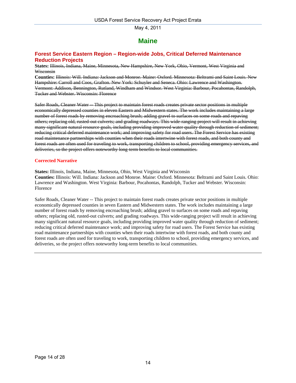# **Maine**

### <span id="page-13-0"></span>**Forest Service Eastern Region – Region-wide Jobs, Critical Deferred Maintenance Reduction Projects**

**States:** Illinois, Indiana, Maine, Minnesota, New Hampshire, New York, Ohio, Vermont, West Virginia and Wisconsin

**Counties:** Illinois: Will. Indiana: Jackson and Monroe. Maine: Oxford. Minnesota: Beltrami and Saint Louis. New Hampshire: Carroll and Coos, Grafton. New York: Schuyler and Seneca. Ohio: Lawrence and Washington. Vermont: Addison, Bennington, Rutland, Windham and Windsor. West Virginia: Barbour, Pocahontas, Randolph, Tucker and Webster. Wisconsin: Florence

Safer Roads, Cleaner Water -- This project to maintain forest roads creates private sector positions in multiple economically depressed counties in eleven Eastern and Midwestern states. The work includes maintaining a large number of forest roads by removing encroaching brush; adding gravel to surfaces on some roads and repaving others; replacing old, rusted-out culverts; and grading roadways. This wide-ranging project will result in achieving many significant natural resource goals, including providing improved water quality through reduction of sediment; reducing critical deferred maintenance work; and improving safety for road users. The Forest Service has existing road maintenance partnerships with counties when their roads intertwine with forest roads, and both county and forest roads are often used for traveling to work, transporting children to school, providing emergency services, and deliveries, so the project offers noteworthy long-term benefits to local communities.

### **Corrected Narrative**

**States:** Illinois, Indiana, Maine, Minnesota, Ohio, West Virginia and Wisconsin

**Counties:** Illinois: Will. Indiana: Jackson and Monroe. Maine: Oxford. Minnesota: Beltrami and Saint Louis. Ohio: Lawrence and Washington. West Virginia: Barbour, Pocahontas, Randolph, Tucker and Webster. Wisconsin: Florence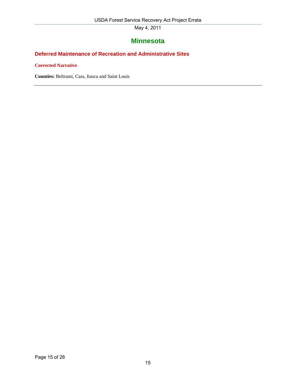# **Minnesota**

# <span id="page-14-0"></span>**Deferred Maintenance of Recreation and Administrative Sites**

**Corrected Narrative** 

**Counties:** Beltrami, Cass, Itasca and Saint Louis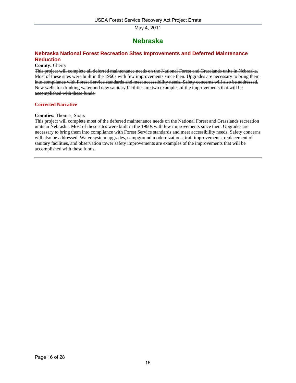# **Nebraska**

# <span id="page-15-0"></span>**Nebraska National Forest Recreation Sites Improvements and Deferred Maintenance Reduction**

### **County:** Cherry

This project will complete all deferred maintenance needs on the National Forest and Grasslands units in Nebraska. Most of these sites were built in the 1960s with few improvements since then. Upgrades are necessary to bring them into compliance with Forest Service standards and meet accessibility needs. Safety concerns will also be addressed. New wells for drinking water and new sanitary facilities are two examples of the improvements that will be accomplished with these funds.

### **Corrected Narrative**

#### **Counties:** Thomas, Sioux

This project will complete most of the deferred maintenance needs on the National Forest and Grasslands recreation units in Nebraska. Most of these sites were built in the 1960s with few improvements since then. Upgrades are necessary to bring them into compliance with Forest Service standards and meet accessibility needs. Safety concerns will also be addressed. Water system upgrades, campground modernizations, trail improvements, replacement of sanitary facilities, and observation tower safety improvements are examples of the improvements that will be accomplished with these funds.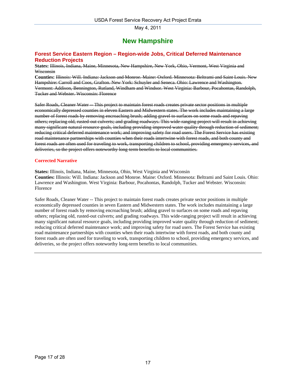# **New Hampshire**

### <span id="page-16-0"></span>**Forest Service Eastern Region – Region-wide Jobs, Critical Deferred Maintenance Reduction Projects**

**States:** Illinois, Indiana, Maine, Minnesota, New Hampshire, New York, Ohio, Vermont, West Virginia and Wisconsin

**Counties:** Illinois: Will. Indiana: Jackson and Monroe. Maine: Oxford. Minnesota: Beltrami and Saint Louis. New Hampshire: Carroll and Coos, Grafton. New York: Schuyler and Seneca. Ohio: Lawrence and Washington. Vermont: Addison, Bennington, Rutland, Windham and Windsor. West Virginia: Barbour, Pocahontas, Randolph, Tucker and Webster. Wisconsin: Florence

Safer Roads, Cleaner Water -- This project to maintain forest roads creates private sector positions in multiple economically depressed counties in eleven Eastern and Midwestern states. The work includes maintaining a large number of forest roads by removing encroaching brush; adding gravel to surfaces on some roads and repaving others; replacing old, rusted-out culverts; and grading roadways. This wide-ranging project will result in achieving many significant natural resource goals, including providing improved water quality through reduction of sediment; reducing critical deferred maintenance work; and improving safety for road users. The Forest Service has existing road maintenance partnerships with counties when their roads intertwine with forest roads, and both county and forest roads are often used for traveling to work, transporting children to school, providing emergency services, and deliveries, so the project offers noteworthy long-term benefits to local communities.

### **Corrected Narrative**

**States:** Illinois, Indiana, Maine, Minnesota, Ohio, West Virginia and Wisconsin

**Counties:** Illinois: Will. Indiana: Jackson and Monroe. Maine: Oxford. Minnesota: Beltrami and Saint Louis. Ohio: Lawrence and Washington. West Virginia: Barbour, Pocahontas, Randolph, Tucker and Webster. Wisconsin: Florence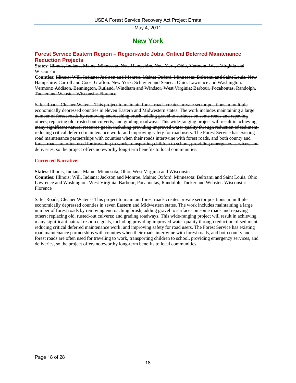# **New York**

### <span id="page-17-0"></span>**Forest Service Eastern Region – Region-wide Jobs, Critical Deferred Maintenance Reduction Projects**

**States:** Illinois, Indiana, Maine, Minnesota, New Hampshire, New York, Ohio, Vermont, West Virginia and Wisconsin

**Counties:** Illinois: Will. Indiana: Jackson and Monroe. Maine: Oxford. Minnesota: Beltrami and Saint Louis. New Hampshire: Carroll and Coos, Grafton. New York: Schuyler and Seneca. Ohio: Lawrence and Washington. Vermont: Addison, Bennington, Rutland, Windham and Windsor. West Virginia: Barbour, Pocahontas, Randolph, Tucker and Webster. Wisconsin: Florence

Safer Roads, Cleaner Water -- This project to maintain forest roads creates private sector positions in multiple economically depressed counties in eleven Eastern and Midwestern states. The work includes maintaining a large number of forest roads by removing encroaching brush; adding gravel to surfaces on some roads and repaving others; replacing old, rusted-out culverts; and grading roadways. This wide-ranging project will result in achieving many significant natural resource goals, including providing improved water quality through reduction of sediment; reducing critical deferred maintenance work; and improving safety for road users. The Forest Service has existing road maintenance partnerships with counties when their roads intertwine with forest roads, and both county and forest roads are often used for traveling to work, transporting children to school, providing emergency services, and deliveries, so the project offers noteworthy long-term benefits to local communities.

### **Corrected Narrative**

**States:** Illinois, Indiana, Maine, Minnesota, Ohio, West Virginia and Wisconsin

**Counties:** Illinois: Will. Indiana: Jackson and Monroe. Maine: Oxford. Minnesota: Beltrami and Saint Louis. Ohio: Lawrence and Washington. West Virginia: Barbour, Pocahontas, Randolph, Tucker and Webster. Wisconsin: Florence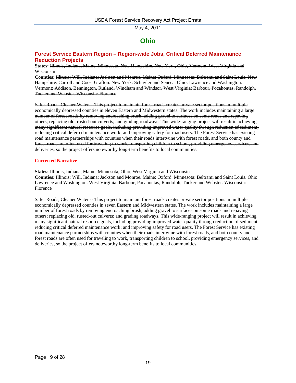# **Ohio**

### <span id="page-18-0"></span>**Forest Service Eastern Region – Region-wide Jobs, Critical Deferred Maintenance Reduction Projects**

**States:** Illinois, Indiana, Maine, Minnesota, New Hampshire, New York, Ohio, Vermont, West Virginia and Wisconsin

**Counties:** Illinois: Will. Indiana: Jackson and Monroe. Maine: Oxford. Minnesota: Beltrami and Saint Louis. New Hampshire: Carroll and Coos, Grafton. New York: Schuyler and Seneca. Ohio: Lawrence and Washington. Vermont: Addison, Bennington, Rutland, Windham and Windsor. West Virginia: Barbour, Pocahontas, Randolph, Tucker and Webster. Wisconsin: Florence

Safer Roads, Cleaner Water -- This project to maintain forest roads creates private sector positions in multiple economically depressed counties in eleven Eastern and Midwestern states. The work includes maintaining a large number of forest roads by removing encroaching brush; adding gravel to surfaces on some roads and repaving others; replacing old, rusted-out culverts; and grading roadways. This wide-ranging project will result in achieving many significant natural resource goals, including providing improved water quality through reduction of sediment; reducing critical deferred maintenance work; and improving safety for road users. The Forest Service has existing road maintenance partnerships with counties when their roads intertwine with forest roads, and both county and forest roads are often used for traveling to work, transporting children to school, providing emergency services, and deliveries, so the project offers noteworthy long-term benefits to local communities.

### **Corrected Narrative**

**States:** Illinois, Indiana, Maine, Minnesota, Ohio, West Virginia and Wisconsin

**Counties:** Illinois: Will. Indiana: Jackson and Monroe. Maine: Oxford. Minnesota: Beltrami and Saint Louis. Ohio: Lawrence and Washington. West Virginia: Barbour, Pocahontas, Randolph, Tucker and Webster. Wisconsin: Florence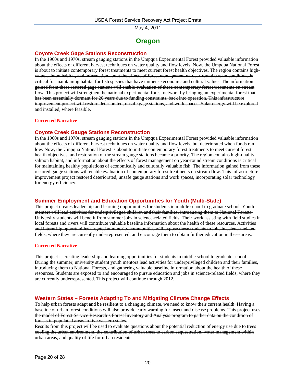# **Oregon**

# <span id="page-19-0"></span>**Coyote Creek Gage Stations Reconstruction**

In the 1960s and 1970s, stream gauging stations in the Umpqua Experimental Forest provided valuable information about the effects of different harvest techniques on water quality and flow levels. Now, the Umpqua National Forest is about to initiate contemporary forest treatments to meet current forest health objectives. The region contains highvalue salmon habitat, and information about the effects of forest management on year-round stream conditions is critical for maintaining habitat for fish species that have immense economic and cultural values. The information gained from these restored gage stations will enable evaluation of these contemporary forest treatments on stream flow. This project will strengthen the national experimental forest network by bringing an experimental forest that has been essentially dormant for 20 years due to funding constraints, back into operation. This infrastructure improvement project will restore deteriorated, unsafe gage stations, and work spaces. Solar energy will be explored and installed, where feasible.

### **Corrected Narrative**

### **Coyote Creek Gauge Stations Reconstruction**

In the 1960s and 1970s, stream gauging stations in the Umpqua Experimental Forest provided valuable information about the effects of different harvest techniques on water quality and flow levels, but deteriorated when funds ran low. Now, the Umpqua National Forest is about to initiate contemporary forest treatments to meet current forest health objectives, and restoration of the stream gauge stations became a priority. The region contains high-quality salmon habitat, and information about the effects of forest management on year-round stream conditions is critical for maintaining healthy populations of economically and culturally valuable fish. The information gained from these restored gauge stations will enable evaluation of contemporary forest treatments on stream flow. This infrastructure improvement project restored deteriorated, unsafe gauge stations and work spaces, incorporating solar technology for energy efficiency.

### **Summer Employment and Education Opportunities for Youth (Multi-State)**

This project creates leadership and learning opportunities for students in middle school to graduate school. Youth mentors will lead activities for underprivileged children and their families, introducing them to National Forests. University students will benefit from summer jobs in science-related fields. Their work assisting with field studies in local forests and rivers will contribute valuable baseline information about the health of these resources. Activities and internship opportunities targeted at minority communities will expose these students to jobs in science-related fields, where they are currently underrepresented, and encourage them to obtain further education in these areas.

### **Corrected Narrative**

This project is creating leadership and learning opportunities for students in middle school to graduate school. During the summer, university student youth mentors lead activities for underprivileged children and their families, introducing them to National Forests, and gathering valuable baseline information about the health of these resources. Students are exposed to and encouraged to pursue education and jobs in science-related fields, where they are currently underrepresented. This project will continue through 2012.

### **Western States – Forests Adapting To and Mitigating Climate Change Effects**

To help urban forests adapt and be resilient to a changing climate, we need to know their current health. Having a baseline of urban forest conditions will also provide early warning for insect and disease problems. This project uses the model of Forest Service Research's Forest Inventory and Analysis program to gather data on the condition of forests in populated areas in five western states.

Results from this project will be used to evaluate questions about the potential reduction of energy use due to trees cooling the urban environment, the contribution of urban trees to carbon sequestration, water management within urban areas, and quality of life for urban residents.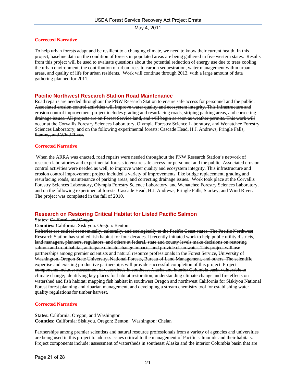### **Corrected Narrative**

To help urban forests adapt and be resilient to a changing climate, we need to know their current health. In this project, baseline data on the condition of forests in populated areas are being gathered in five western states. Results from this project will be used to evaluate questions about the potential reduction of energy use due to trees cooling the urban environment, the contribution of urban trees to carbon sequestration, water management within urban areas, and quality of life for urban residents. Work will continue through 2013, with a large amount of data gathering planned for 2011.

### **Pacific Northwest Research Station Road Maintenance**

Road repairs are needed throughout the PNW Research Station to ensure safe access for personnel and the public. Associated erosion control activities will improve water quality and ecosystem integrity. This infrastructure and erosion control improvement project includes grading and resurfacing roads, striping parking areas, and correcting drainage issues. All projects are on Forest Service land, and will begin as soon as weather permits. This work will occur at the Corvallis Forestry Sciences Laboratory, Olympia Forestry Science Laboratory, and Wenatchee Forestry Sciences Laboratory, and on the following experimental forests: Cascade Head, H.J. Andrews, Pringle Falls, Starkey, and Wind River.

#### **Corrected Narrative**

 When the ARRA was enacted, road repairs were needed throughout the PNW Research Station's network of research laboratories and experimental forests to ensure safe access for personnel and the public. Associated erosion control activities were needed as well, to improve water quality and ecosystem integrity. This infrastructure and erosion control improvement project included a variety of improvements, like bridge replacement, grading and resurfacing roads, maintenance of parking areas, and correcting drainage issues. Work took place at the Corvallis Forestry Sciences Laboratory, Olympia Forestry Science Laboratory, and Wenatchee Forestry Sciences Laboratory, and on the following experimental forests: Cascade Head, H.J. Andrews, Pringle Falls, Starkey, and Wind River. The project was completed in the fall of 2010.

### **Research on Restoring Critical Habitat for Listed Pacific Salmon**

#### **States: California and Oregon**

#### **Counties:** California: Siskiyou. Oregon: Benton

Fisheries are critical economically, culturally, and ecologically to the Pacific Coast states. The Pacific Northwest Research Station has studied fish habitat for four decades. It recently initiated work to help public utility districts, land managers, planners, regulators, and others at federal, state and county levels make decisions on restoring salmon and trout habitat, anticipate climate change impacts, and provide clean water. This project will use partnerships among premier scientists and natural resource professionals in the Forest Service, University of Washington, Oregon State University, National Forests, Bureau of Land Management, and others. The scientific expertise and existing productive partnerships will provide successful completion of this project. Project components include: assessment of watersheds in southeast Alaska and interior Columbia basin vulnerable to climate change; identifying key places for habitat restoration; understanding climate change and fire effects on watershed and fish habitat; mapping fish habitat in southwest Oregon and northwest California for Siskiyou National Forest forest planning and riparian management, and developing a stream chemistry tool for establishing water quality regulations for timber harvest.

### **Corrected Narrative**

**States:** California, Oregon, and Washington **Counties:** California: Siskiyou. Oregon: Benton. Washington: Chelan

Partnerships among premier scientists and natural resource professionals from a variety of agencies and universities are being used in this project to address issues critical to the management of Pacific salmonids and their habitats. Project components include: assessment of watersheds in southeast Alaska and the interior Columbia basin that are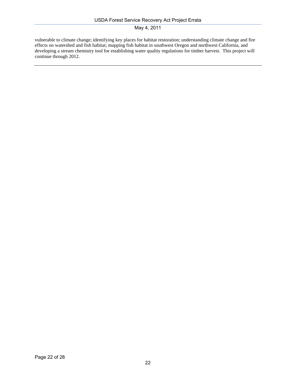vulnerable to climate change; identifying key places for habitat restoration; understanding climate change and fire effects on watershed and fish habitat; mapping fish habitat in southwest Oregon and northwest California, and developing a stream chemistry tool for establishing water quality regulations for timber harvest. This project will continue through 2012.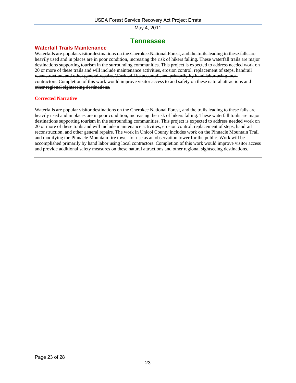# **Tennessee**

### <span id="page-22-0"></span>**Waterfall Trails Maintenance**

Waterfalls are popular visitor destinations on the Cherokee National Forest, and the trails leading to these falls are heavily used and in places are in poor condition, increasing the risk of hikers falling. These waterfall trails are major destinations supporting tourism in the surrounding communities. This project is expected to address needed work on 20 or more of these trails and will include maintenance activities, erosion control, replacement of steps, handrail reconstruction, and other general repairs. Work will be accomplished primarily by hand labor using local contractors. Completion of this work would improve visitor access to and safety on these natural attractions and other regional sightseeing destinations.

### **Corrected Narrative**

Waterfalls are popular visitor destinations on the Cherokee National Forest, and the trails leading to these falls are heavily used and in places are in poor condition, increasing the risk of hikers falling. These waterfall trails are major destinations supporting tourism in the surrounding communities. This project is expected to address needed work on 20 or more of these trails and will include maintenance activities, erosion control, replacement of steps, handrail reconstruction, and other general repairs. The work in Unicoi County includes work on the Pinnacle Mountain Trail and modifying the Pinnacle Mountain fire tower for use as an observation tower for the public. Work will be accomplished primarily by hand labor using local contractors. Completion of this work would improve visitor access and provide additional safety measures on these natural attractions and other regional sightseeing destinations.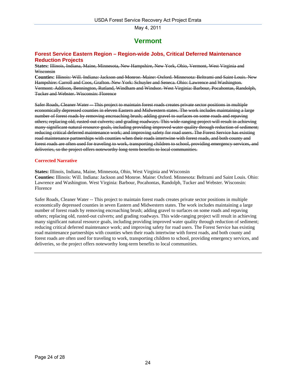# **Vermont**

### <span id="page-23-0"></span>**Forest Service Eastern Region – Region-wide Jobs, Critical Deferred Maintenance Reduction Projects**

**States:** Illinois, Indiana, Maine, Minnesota, New Hampshire, New York, Ohio, Vermont, West Virginia and Wisconsin

**Counties:** Illinois: Will. Indiana: Jackson and Monroe. Maine: Oxford. Minnesota: Beltrami and Saint Louis. New Hampshire: Carroll and Coos, Grafton. New York: Schuyler and Seneca. Ohio: Lawrence and Washington. Vermont: Addison, Bennington, Rutland, Windham and Windsor. West Virginia: Barbour, Pocahontas, Randolph, Tucker and Webster. Wisconsin: Florence

Safer Roads, Cleaner Water -- This project to maintain forest roads creates private sector positions in multiple economically depressed counties in eleven Eastern and Midwestern states. The work includes maintaining a large number of forest roads by removing encroaching brush; adding gravel to surfaces on some roads and repaving others; replacing old, rusted-out culverts; and grading roadways. This wide-ranging project will result in achieving many significant natural resource goals, including providing improved water quality through reduction of sediment; reducing critical deferred maintenance work; and improving safety for road users. The Forest Service has existing road maintenance partnerships with counties when their roads intertwine with forest roads, and both county and forest roads are often used for traveling to work, transporting children to school, providing emergency services, and deliveries, so the project offers noteworthy long-term benefits to local communities.

### **Corrected Narrative**

**States:** Illinois, Indiana, Maine, Minnesota, Ohio, West Virginia and Wisconsin

**Counties:** Illinois: Will. Indiana: Jackson and Monroe. Maine: Oxford. Minnesota: Beltrami and Saint Louis. Ohio: Lawrence and Washington. West Virginia: Barbour, Pocahontas, Randolph, Tucker and Webster. Wisconsin: Florence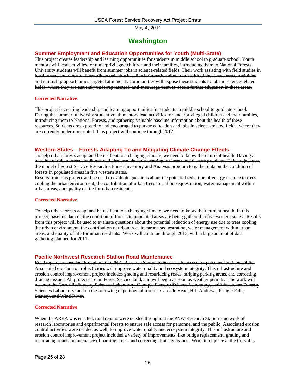# **Washington**

# <span id="page-24-0"></span>**Summer Employment and Education Opportunities for Youth (Multi-State)**

This project creates leadership and learning opportunities for students in middle school to graduate school. Youth mentors will lead activities for underprivileged children and their families, introducing them to National Forests. University students will benefit from summer jobs in science-related fields. Their work assisting with field studies in local forests and rivers will contribute valuable baseline information about the health of these resources. Activities and internship opportunities targeted at minority communities will expose these students to jobs in science-related fields, where they are currently underrepresented, and encourage them to obtain further education in these areas.

### **Corrected Narrative**

This project is creating leadership and learning opportunities for students in middle school to graduate school. During the summer, university student youth mentors lead activities for underprivileged children and their families, introducing them to National Forests, and gathering valuable baseline information about the health of these resources. Students are exposed to and encouraged to pursue education and jobs in science-related fields, where they are currently underrepresented. This project will continue through 2012.

### **Western States – Forests Adapting To and Mitigating Climate Change Effects**

To help urban forests adapt and be resilient to a changing climate, we need to know their current health. Having a baseline of urban forest conditions will also provide early warning for insect and disease problems. This project uses the model of Forest Service Research's Forest Inventory and Analysis program to gather data on the condition of forests in populated areas in five western states.

Results from this project will be used to evaluate questions about the potential reduction of energy use due to trees cooling the urban environment, the contribution of urban trees to carbon sequestration, water management within urban areas, and quality of life for urban residents.

#### **Corrected Narrative**

To help urban forests adapt and be resilient to a changing climate, we need to know their current health. In this project, baseline data on the condition of forests in populated areas are being gathered in five western states. Results from this project will be used to evaluate questions about the potential reduction of energy use due to trees cooling the urban environment, the contribution of urban trees to carbon sequestration, water management within urban areas, and quality of life for urban residents. Work will continue through 2013, with a large amount of data gathering planned for 2011.

### **Pacific Northwest Research Station Road Maintenance**

Road repairs are needed throughout the PNW Research Station to ensure safe access for personnel and the public. Associated erosion control activities will improve water quality and ecosystem integrity. This infrastructure and erosion control improvement project includes grading and resurfacing roads, striping parking areas, and correcting drainage issues. All projects are on Forest Service land, and will begin as soon as weather permits. This work will occur at the Corvallis Forestry Sciences Laboratory, Olympia Forestry Science Laboratory, and Wenatchee Forestry Sciences Laboratory, and on the following experimental forests: Cascade Head, H.J. Andrews, Pringle Falls, Starkey, and Wind River.

### **Corrected Narrative**

When the ARRA was enacted, road repairs were needed throughout the PNW Research Station's network of research laboratories and experimental forests to ensure safe access for personnel and the public. Associated erosion control activities were needed as well, to improve water quality and ecosystem integrity. This infrastructure and erosion control improvement project included a variety of improvements, like bridge replacement, grading and resurfacing roads, maintenance of parking areas, and correcting drainage issues. Work took place at the Corvallis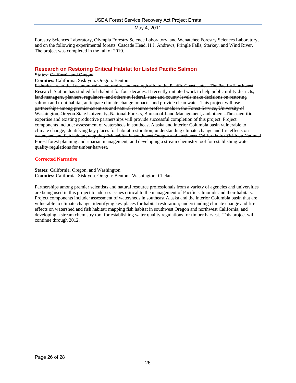Forestry Sciences Laboratory, Olympia Forestry Science Laboratory, and Wenatchee Forestry Sciences Laboratory, and on the following experimental forests: Cascade Head, H.J. Andrews, Pringle Falls, Starkey, and Wind River. The project was completed in the fall of 2010.

### **Research on Restoring Critical Habitat for Listed Pacific Salmon**

#### **States: California and Oregon**

#### **Counties:** California: Siskiyou. Oregon: Benton

Fisheries are critical economically, culturally, and ecologically to the Pacific Coast states. The Pacific Northwest Research Station has studied fish habitat for four decades. It recently initiated work to help public utility districts, land managers, planners, regulators, and others at federal, state and county levels make decisions on restoring salmon and trout habitat, anticipate climate change impacts, and provide clean water. This project will use partnerships among premier scientists and natural resource professionals in the Forest Service, University of Washington, Oregon State University, National Forests, Bureau of Land Management, and others. The scientific expertise and existing productive partnerships will provide successful completion of this project. Project components include: assessment of watersheds in southeast Alaska and interior Columbia basin vulnerable to climate change; identifying key places for habitat restoration; understanding climate change and fire effects on watershed and fish habitat; mapping fish habitat in southwest Oregon and northwest California for Siskiyou National Forest forest planning and riparian management, and developing a stream chemistry tool for establishing water quality regulations for timber harvest.

#### **Corrected Narrative**

#### **States:** California, Oregon, and Washington **Counties:** California: Siskiyou. Oregon: Benton. Washington: Chelan

Partnerships among premier scientists and natural resource professionals from a variety of agencies and universities are being used in this project to address issues critical to the management of Pacific salmonids and their habitats. Project components include: assessment of watersheds in southeast Alaska and the interior Columbia basin that are vulnerable to climate change; identifying key places for habitat restoration; understanding climate change and fire effects on watershed and fish habitat; mapping fish habitat in southwest Oregon and northwest California, and developing a stream chemistry tool for establishing water quality regulations for timber harvest. This project will continue through 2012.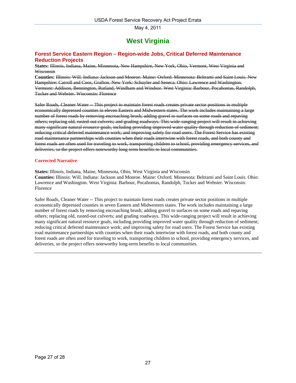# **West Virginia**

### <span id="page-26-0"></span>**Forest Service Eastern Region – Region-wide Jobs, Critical Deferred Maintenance Reduction Projects**

**States:** Illinois, Indiana, Maine, Minnesota, New Hampshire, New York, Ohio, Vermont, West Virginia and Wisconsin

**Counties:** Illinois: Will. Indiana: Jackson and Monroe. Maine: Oxford. Minnesota: Beltrami and Saint Louis. New Hampshire: Carroll and Coos, Grafton. New York: Schuyler and Seneca. Ohio: Lawrence and Washington. Vermont: Addison, Bennington, Rutland, Windham and Windsor. West Virginia: Barbour, Pocahontas, Randolph, Tucker and Webster. Wisconsin: Florence

Safer Roads, Cleaner Water -- This project to maintain forest roads creates private sector positions in multiple economically depressed counties in eleven Eastern and Midwestern states. The work includes maintaining a large number of forest roads by removing encroaching brush; adding gravel to surfaces on some roads and repaving others; replacing old, rusted-out culverts; and grading roadways. This wide-ranging project will result in achieving many significant natural resource goals, including providing improved water quality through reduction of sediment; reducing critical deferred maintenance work; and improving safety for road users. The Forest Service has existing road maintenance partnerships with counties when their roads intertwine with forest roads, and both county and forest roads are often used for traveling to work, transporting children to school, providing emergency services, and deliveries, so the project offers noteworthy long-term benefits to local communities.

#### **Corrected Narrative**

**States:** Illinois, Indiana, Maine, Minnesota, Ohio, West Virginia and Wisconsin

**Counties:** Illinois: Will. Indiana: Jackson and Monroe. Maine: Oxford. Minnesota: Beltrami and Saint Louis. Ohio: Lawrence and Washington. West Virginia: Barbour, Pocahontas, Randolph, Tucker and Webster. Wisconsin: Florence